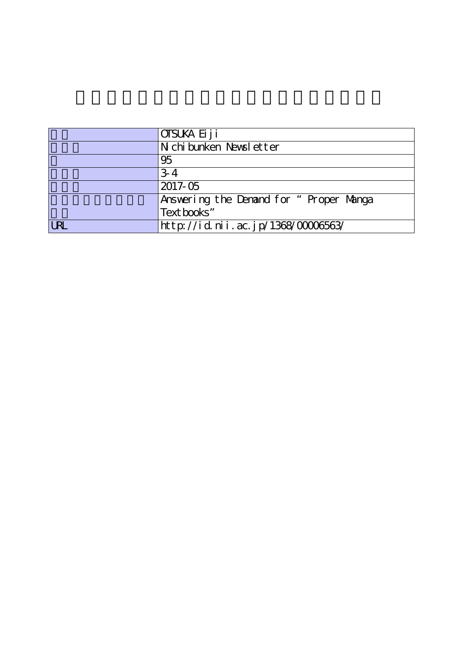|            | OTSUKA Ei j i                          |
|------------|----------------------------------------|
|            | N chi bunken Newsl etter               |
|            | 95                                     |
|            | $3-4$                                  |
|            | 2017-05                                |
|            | Answering the Denand for "Proper Manga |
|            | Text books"                            |
| <b>LRL</b> | http://id.nii.ac.jp/1368/00006563/     |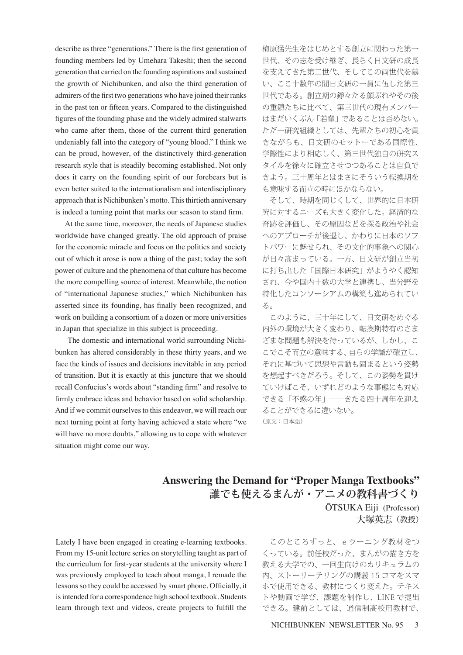describe as three "generations." There is the first generation of founding members led by Umehara Takeshi; then the second generation that carried on the founding aspirations and sustained the growth of Nichibunken, and also the third generation of admirers of the first two generations who have joined their ranks in the past ten or fifteen years. Compared to the distinguished figures of the founding phase and the widely admired stalwarts who came after them, those of the current third generation undeniably fall into the category of "young blood." I think we can be proud, however, of the distinctively third-generation research style that is steadily becoming established. Not only does it carry on the founding spirit of our forebears but is even better suited to the internationalism and interdisciplinary approach that is Nichibunken's motto. This thirtieth anniversary is indeed a turning point that marks our season to stand firm.

 At the same time, moreover, the needs of Japanese studies worldwide have changed greatly. The old approach of praise for the economic miracle and focus on the politics and society out of which it arose is now a thing of the past; today the soft power of culture and the phenomena of that culture has become the more compelling source of interest. Meanwhile, the notion of "international Japanese studies," which Nichibunken has asserted since its founding, has finally been recognized, and work on building a consortium of a dozen or more universities in Japan that specialize in this subject is proceeding.

 The domestic and international world surrounding Nichibunken has altered considerably in these thirty years, and we face the kinds of issues and decisions inevitable in any period of transition. But it is exactly at this juncture that we should recall Confucius's words about "standing firm" and resolve to firmly embrace ideas and behavior based on solid scholarship. And if we commit ourselves to this endeavor, we will reach our next turning point at forty having achieved a state where "we will have no more doubts," allowing us to cope with whatever situation might come our way.

梅原猛先生をはじめとする創立に関わった第一 世代、その志を受け継ぎ、長らく日文研の成長 を支えてきた第二世代、そしてこの両世代を慕 い、ここ十数年の間日文研の一員に伍した第三 世代である。創立期の錚々たる顔ぶれやその後 の重鎮たちに比べて、第三世代の現有メンバー はまだいくぶん「若輩」であることは否めない。 ただ一研究組織としては、先輩たちの初心を貫 きながらも、日文研のモットーである国際性、 学際性により相応しく、第三世代独自の研究ス タイルを徐々に確立させつつあることは自負で きよう。三十周年とはまさにそういう転換期を も意味する而立の時にほかならない。

 そして、時期を同じくして、世界的に日本研 究に対するニーズも大きく変化した。経済的な 奇跡を評価し、その原因などを探る政治や社会 へのアプローチが後退し、かわりに日本のソフ トパワーに魅せられ、その文化的事象への関心 が日々高まっている。一方、日文研が創立当初 に打ち出した「国際日本研究」がようやく認知 され、今や国内十数の大学と連携し、当分野を 特化したコンソーシアムの構築も進められてい る。

 このように、三十年にして、日文研をめぐる 内外の環境が大きく変わり、転換期特有のさま ざまな問題も解決を待っているが、しかし、こ こでこそ而立の意味する、自らの学識が確立し、 それに基づいて思想や言動も固まるという姿勢 を想起すべきだろう。そして、この姿勢を貫け ていけばこそ、いずれどのような事態にも対応 できる「不惑の年」――きたる四十周年を迎え ることができるに違いない。 (原文:日本語)

## **Answering the Demand for "Proper Manga Textbooks" 誰でも使えるまんが・アニメの教科書づくり** ŌTSUKA Eiji (Professor) 大塚英志(教授)

Lately I have been engaged in creating e-learning textbooks. From my 15-unit lecture series on storytelling taught as part of the curriculum for first-year students at the university where I was previously employed to teach about manga, I remade the lessons so they could be accessed by smart phone. Officially, it is intended for a correspondence high school textbook. Students learn through text and videos, create projects to fulfill the

このところずっと、eラーニング教材をつ くっている。前任校だった、まんがの描き方を 教える大学での、一回生向けのカリキュラムの 内、ストーリーテリングの講義 15 コマをスマ ホで使用できる、教材につくり変えた。テキス トや動画で学び、課題を制作し、LINE で提出 できる。建前としては、通信制高校用教材で、